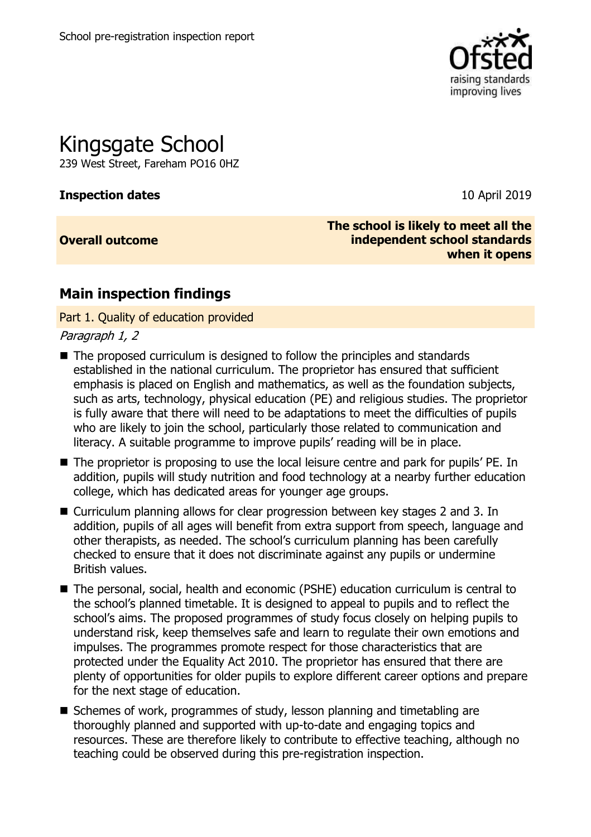

# Kingsgate School

239 West Street, Fareham PO16 0HZ

#### **Inspection dates** 10 April 2019

**Overall outcome**

**The school is likely to meet all the independent school standards when it opens**

## **Main inspection findings**

Part 1. Quality of education provided

Paragraph 1, 2

- The proposed curriculum is designed to follow the principles and standards established in the national curriculum. The proprietor has ensured that sufficient emphasis is placed on English and mathematics, as well as the foundation subjects, such as arts, technology, physical education (PE) and religious studies. The proprietor is fully aware that there will need to be adaptations to meet the difficulties of pupils who are likely to join the school, particularly those related to communication and literacy. A suitable programme to improve pupils' reading will be in place.
- The proprietor is proposing to use the local leisure centre and park for pupils' PE. In addition, pupils will study nutrition and food technology at a nearby further education college, which has dedicated areas for younger age groups.
- Curriculum planning allows for clear progression between key stages 2 and 3. In addition, pupils of all ages will benefit from extra support from speech, language and other therapists, as needed. The school's curriculum planning has been carefully checked to ensure that it does not discriminate against any pupils or undermine British values.
- The personal, social, health and economic (PSHE) education curriculum is central to the school's planned timetable. It is designed to appeal to pupils and to reflect the school's aims. The proposed programmes of study focus closely on helping pupils to understand risk, keep themselves safe and learn to regulate their own emotions and impulses. The programmes promote respect for those characteristics that are protected under the Equality Act 2010. The proprietor has ensured that there are plenty of opportunities for older pupils to explore different career options and prepare for the next stage of education.
- Schemes of work, programmes of study, lesson planning and timetabling are thoroughly planned and supported with up-to-date and engaging topics and resources. These are therefore likely to contribute to effective teaching, although no teaching could be observed during this pre-registration inspection.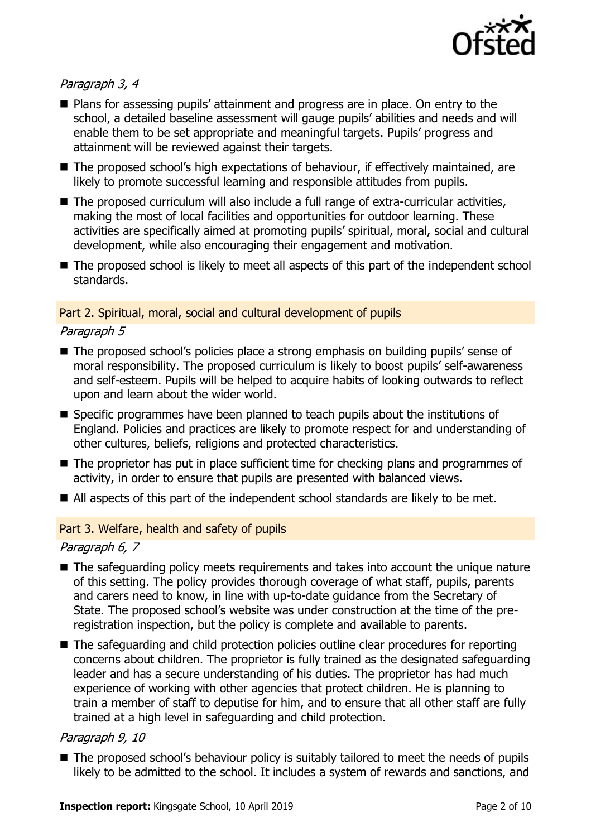

#### Paragraph 3, 4

- Plans for assessing pupils' attainment and progress are in place. On entry to the school, a detailed baseline assessment will gauge pupils' abilities and needs and will enable them to be set appropriate and meaningful targets. Pupils' progress and attainment will be reviewed against their targets.
- The proposed school's high expectations of behaviour, if effectively maintained, are likely to promote successful learning and responsible attitudes from pupils.
- The proposed curriculum will also include a full range of extra-curricular activities, making the most of local facilities and opportunities for outdoor learning. These activities are specifically aimed at promoting pupils' spiritual, moral, social and cultural development, while also encouraging their engagement and motivation.
- The proposed school is likely to meet all aspects of this part of the independent school standards.

#### Part 2. Spiritual, moral, social and cultural development of pupils

#### Paragraph 5

- The proposed school's policies place a strong emphasis on building pupils' sense of moral responsibility. The proposed curriculum is likely to boost pupils' self-awareness and self-esteem. Pupils will be helped to acquire habits of looking outwards to reflect upon and learn about the wider world.
- Specific programmes have been planned to teach pupils about the institutions of England. Policies and practices are likely to promote respect for and understanding of other cultures, beliefs, religions and protected characteristics.
- The proprietor has put in place sufficient time for checking plans and programmes of activity, in order to ensure that pupils are presented with balanced views.
- All aspects of this part of the independent school standards are likely to be met.

#### Part 3. Welfare, health and safety of pupils

#### Paragraph 6, 7

- The safeguarding policy meets requirements and takes into account the unique nature of this setting. The policy provides thorough coverage of what staff, pupils, parents and carers need to know, in line with up-to-date guidance from the Secretary of State. The proposed school's website was under construction at the time of the preregistration inspection, but the policy is complete and available to parents.
- The safeguarding and child protection policies outline clear procedures for reporting concerns about children. The proprietor is fully trained as the designated safeguarding leader and has a secure understanding of his duties. The proprietor has had much experience of working with other agencies that protect children. He is planning to train a member of staff to deputise for him, and to ensure that all other staff are fully trained at a high level in safeguarding and child protection.

#### Paragraph 9, 10

■ The proposed school's behaviour policy is suitably tailored to meet the needs of pupils likely to be admitted to the school. It includes a system of rewards and sanctions, and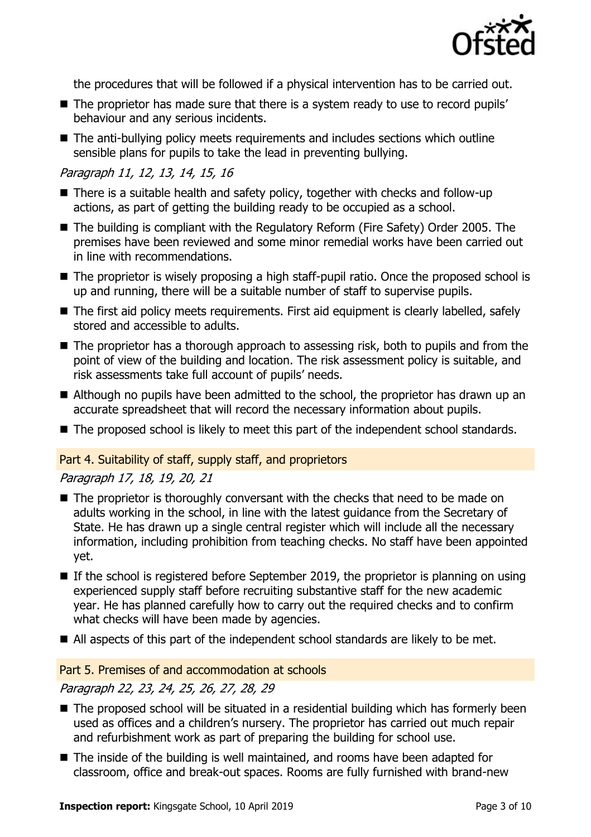

the procedures that will be followed if a physical intervention has to be carried out.

- The proprietor has made sure that there is a system ready to use to record pupils' behaviour and any serious incidents.
- The anti-bullying policy meets requirements and includes sections which outline sensible plans for pupils to take the lead in preventing bullying.

### Paragraph 11, 12, 13, 14, 15, 16

- There is a suitable health and safety policy, together with checks and follow-up actions, as part of getting the building ready to be occupied as a school.
- The building is compliant with the Regulatory Reform (Fire Safety) Order 2005. The premises have been reviewed and some minor remedial works have been carried out in line with recommendations.
- The proprietor is wisely proposing a high staff-pupil ratio. Once the proposed school is up and running, there will be a suitable number of staff to supervise pupils.
- The first aid policy meets requirements. First aid equipment is clearly labelled, safely stored and accessible to adults.
- The proprietor has a thorough approach to assessing risk, both to pupils and from the point of view of the building and location. The risk assessment policy is suitable, and risk assessments take full account of pupils' needs.
- Although no pupils have been admitted to the school, the proprietor has drawn up an accurate spreadsheet that will record the necessary information about pupils.
- The proposed school is likely to meet this part of the independent school standards.

#### Part 4. Suitability of staff, supply staff, and proprietors

Paragraph 17, 18, 19, 20, 21

- The proprietor is thoroughly conversant with the checks that need to be made on adults working in the school, in line with the latest guidance from the Secretary of State. He has drawn up a single central register which will include all the necessary information, including prohibition from teaching checks. No staff have been appointed yet.
- $\blacksquare$  If the school is registered before September 2019, the proprietor is planning on using experienced supply staff before recruiting substantive staff for the new academic year. He has planned carefully how to carry out the required checks and to confirm what checks will have been made by agencies.
- All aspects of this part of the independent school standards are likely to be met.

#### Part 5. Premises of and accommodation at schools

Paragraph 22, 23, 24, 25, 26, 27, 28, 29

- The proposed school will be situated in a residential building which has formerly been used as offices and a children's nursery. The proprietor has carried out much repair and refurbishment work as part of preparing the building for school use.
- The inside of the building is well maintained, and rooms have been adapted for classroom, office and break-out spaces. Rooms are fully furnished with brand-new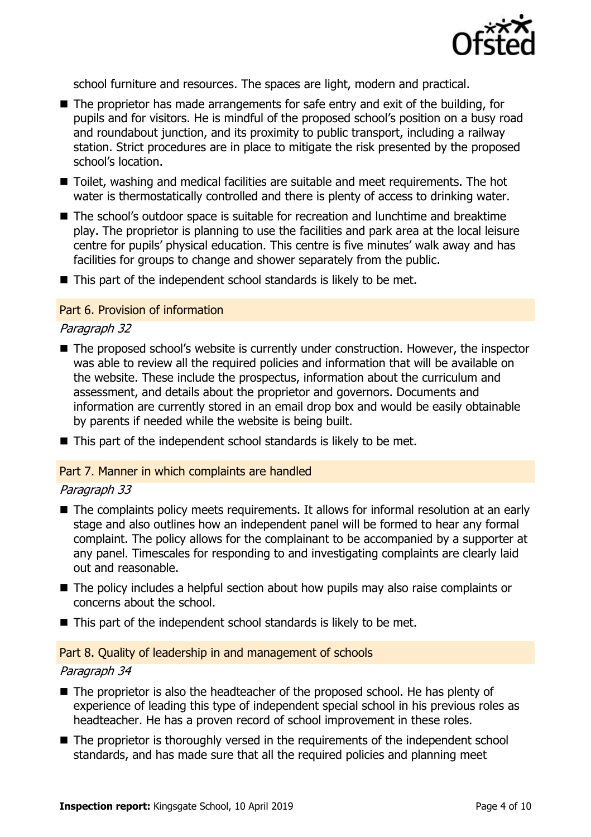

school furniture and resources. The spaces are light, modern and practical.

- $\blacksquare$  The proprietor has made arrangements for safe entry and exit of the building, for pupils and for visitors. He is mindful of the proposed school's position on a busy road and roundabout junction, and its proximity to public transport, including a railway station. Strict procedures are in place to mitigate the risk presented by the proposed school's location.
- Toilet, washing and medical facilities are suitable and meet requirements. The hot water is thermostatically controlled and there is plenty of access to drinking water.
- The school's outdoor space is suitable for recreation and lunchtime and breaktime play. The proprietor is planning to use the facilities and park area at the local leisure centre for pupils' physical education. This centre is five minutes' walk away and has facilities for groups to change and shower separately from the public.
- $\blacksquare$  This part of the independent school standards is likely to be met.

#### Part 6. Provision of information

#### Paragraph 32

- The proposed school's website is currently under construction. However, the inspector was able to review all the required policies and information that will be available on the website. These include the prospectus, information about the curriculum and assessment, and details about the proprietor and governors. Documents and information are currently stored in an email drop box and would be easily obtainable by parents if needed while the website is being built.
- This part of the independent school standards is likely to be met.

#### Part 7. Manner in which complaints are handled

#### Paragraph 33

- The complaints policy meets requirements. It allows for informal resolution at an early stage and also outlines how an independent panel will be formed to hear any formal complaint. The policy allows for the complainant to be accompanied by a supporter at any panel. Timescales for responding to and investigating complaints are clearly laid out and reasonable.
- The policy includes a helpful section about how pupils may also raise complaints or concerns about the school.
- This part of the independent school standards is likely to be met.

#### Part 8. Quality of leadership in and management of schools

#### Paragraph 34

- The proprietor is also the headteacher of the proposed school. He has plenty of experience of leading this type of independent special school in his previous roles as headteacher. He has a proven record of school improvement in these roles.
- The proprietor is thoroughly versed in the requirements of the independent school standards, and has made sure that all the required policies and planning meet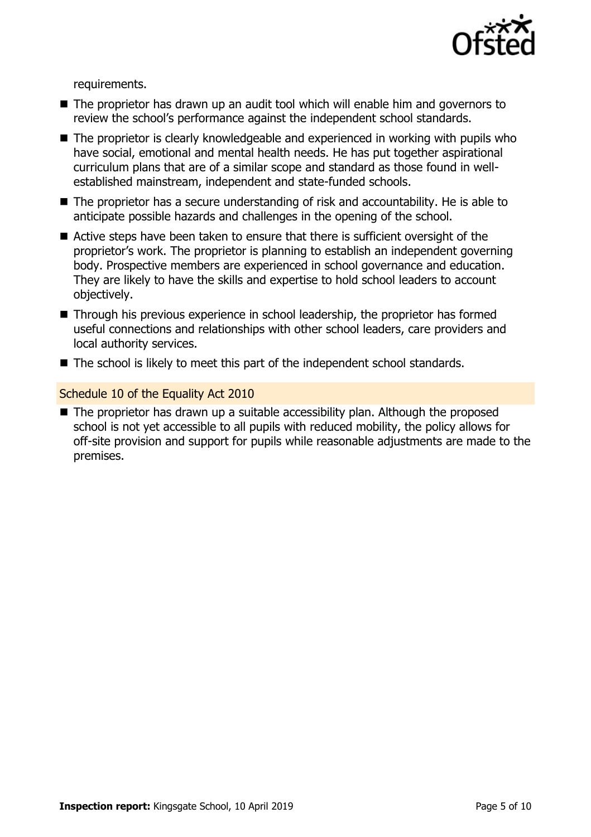

requirements.

- The proprietor has drawn up an audit tool which will enable him and governors to review the school's performance against the independent school standards.
- The proprietor is clearly knowledgeable and experienced in working with pupils who have social, emotional and mental health needs. He has put together aspirational curriculum plans that are of a similar scope and standard as those found in wellestablished mainstream, independent and state-funded schools.
- The proprietor has a secure understanding of risk and accountability. He is able to anticipate possible hazards and challenges in the opening of the school.
- Active steps have been taken to ensure that there is sufficient oversight of the proprietor's work. The proprietor is planning to establish an independent governing body. Prospective members are experienced in school governance and education. They are likely to have the skills and expertise to hold school leaders to account objectively.
- Through his previous experience in school leadership, the proprietor has formed useful connections and relationships with other school leaders, care providers and local authority services.
- The school is likely to meet this part of the independent school standards.

#### Schedule 10 of the Equality Act 2010

■ The proprietor has drawn up a suitable accessibility plan. Although the proposed school is not yet accessible to all pupils with reduced mobility, the policy allows for off-site provision and support for pupils while reasonable adjustments are made to the premises.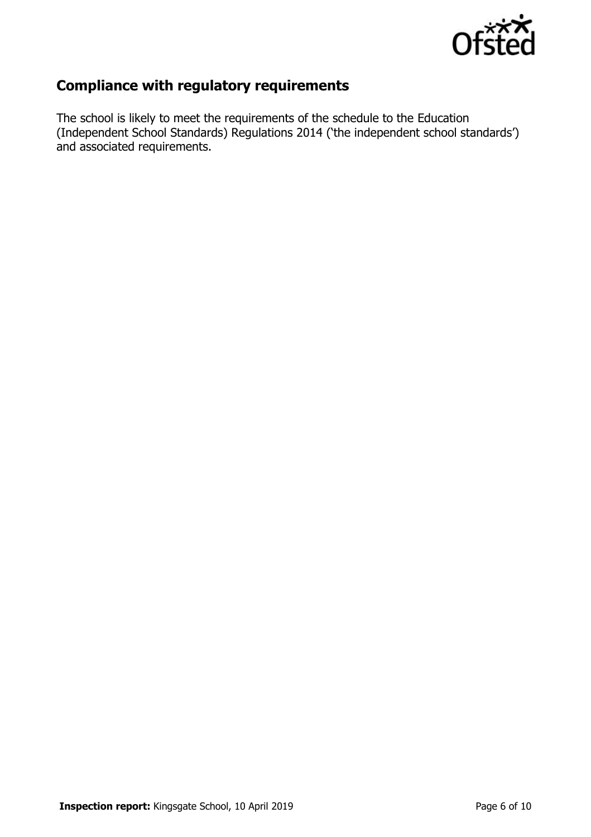

## **Compliance with regulatory requirements**

The school is likely to meet the requirements of the schedule to the Education (Independent School Standards) Regulations 2014 ('the independent school standards') and associated requirements.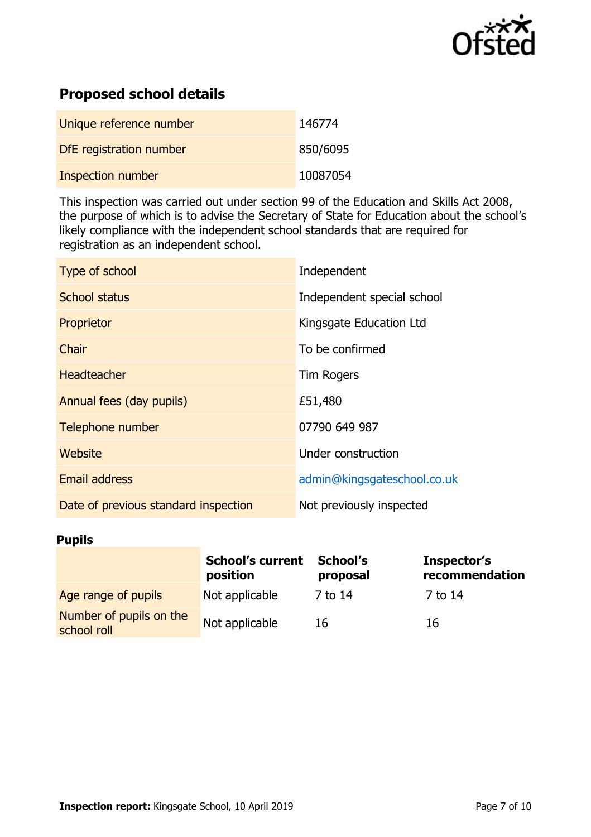

## **Proposed school details**

| Unique reference number | 146774   |
|-------------------------|----------|
| DfE registration number | 850/6095 |
| Inspection number       | 10087054 |

This inspection was carried out under section 99 of the Education and Skills Act 2008, the purpose of which is to advise the Secretary of State for Education about the school's likely compliance with the independent school standards that are required for registration as an independent school.

| Type of school                       | Independent                 |
|--------------------------------------|-----------------------------|
| <b>School status</b>                 | Independent special school  |
| Proprietor                           | Kingsgate Education Ltd     |
| Chair                                | To be confirmed             |
| <b>Headteacher</b>                   | <b>Tim Rogers</b>           |
| Annual fees (day pupils)             | £51,480                     |
| Telephone number                     | 07790 649 987               |
| Website                              | Under construction          |
| <b>Email address</b>                 | admin@kingsgateschool.co.uk |
| Date of previous standard inspection | Not previously inspected    |

#### **Pupils**

|                                        | <b>School's current</b><br>position | School's<br>proposal | Inspector's<br>recommendation |
|----------------------------------------|-------------------------------------|----------------------|-------------------------------|
| Age range of pupils                    | Not applicable                      | 7 to 14              | 7 to 14                       |
| Number of pupils on the<br>school roll | Not applicable                      | 16                   | 16                            |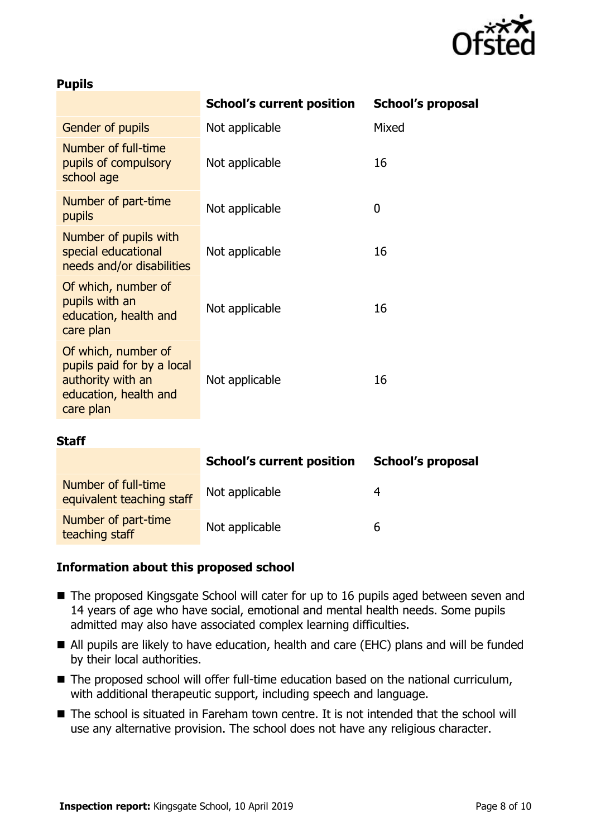

#### **Pupils**

|                                                                                                              | <b>School's current position</b> | <b>School's proposal</b> |
|--------------------------------------------------------------------------------------------------------------|----------------------------------|--------------------------|
| Gender of pupils                                                                                             | Not applicable                   | Mixed                    |
| Number of full-time<br>pupils of compulsory<br>school age                                                    | Not applicable                   | 16                       |
| Number of part-time<br>pupils                                                                                | Not applicable                   | 0                        |
| Number of pupils with<br>special educational<br>needs and/or disabilities                                    | Not applicable                   | 16                       |
| Of which, number of<br>pupils with an<br>education, health and<br>care plan                                  | Not applicable                   | 16                       |
| Of which, number of<br>pupils paid for by a local<br>authority with an<br>education, health and<br>care plan | Not applicable                   | 16                       |
| Staff                                                                                                        |                                  |                          |
|                                                                                                              |                                  |                          |

|                                                  | <b>School's current position</b> | <b>School's proposal</b> |
|--------------------------------------------------|----------------------------------|--------------------------|
| Number of full-time<br>equivalent teaching staff | Not applicable                   |                          |
| Number of part-time<br>teaching staff            | Not applicable                   | b                        |

#### **Information about this proposed school**

- The proposed Kingsgate School will cater for up to 16 pupils aged between seven and 14 years of age who have social, emotional and mental health needs. Some pupils admitted may also have associated complex learning difficulties.
- All pupils are likely to have education, health and care (EHC) plans and will be funded by their local authorities.
- The proposed school will offer full-time education based on the national curriculum, with additional therapeutic support, including speech and language.
- The school is situated in Fareham town centre. It is not intended that the school will use any alternative provision. The school does not have any religious character.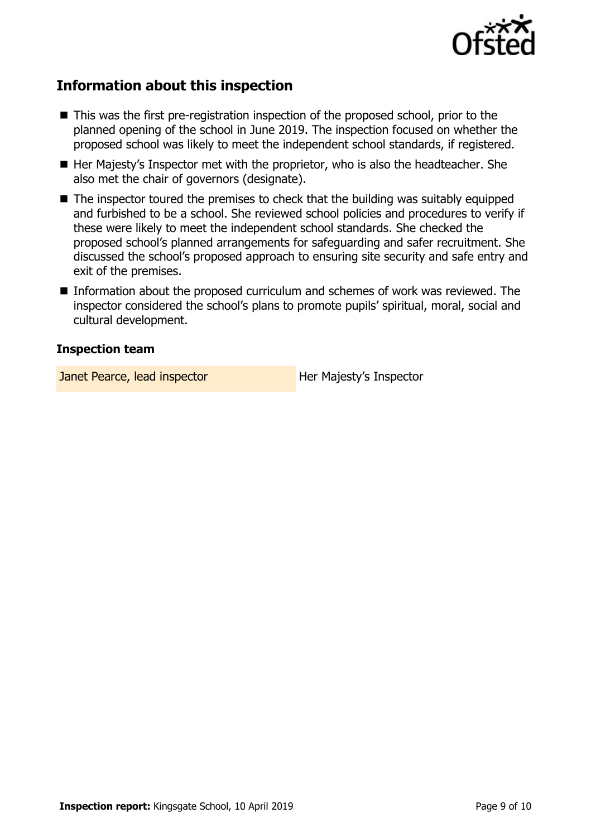

## **Information about this inspection**

- This was the first pre-registration inspection of the proposed school, prior to the planned opening of the school in June 2019. The inspection focused on whether the proposed school was likely to meet the independent school standards, if registered.
- Her Majesty's Inspector met with the proprietor, who is also the headteacher. She also met the chair of governors (designate).
- $\blacksquare$  The inspector toured the premises to check that the building was suitably equipped and furbished to be a school. She reviewed school policies and procedures to verify if these were likely to meet the independent school standards. She checked the proposed school's planned arrangements for safeguarding and safer recruitment. She discussed the school's proposed approach to ensuring site security and safe entry and exit of the premises.
- Information about the proposed curriculum and schemes of work was reviewed. The inspector considered the school's plans to promote pupils' spiritual, moral, social and cultural development.

#### **Inspection team**

Janet Pearce, lead inspector **Her Majesty's Inspector**